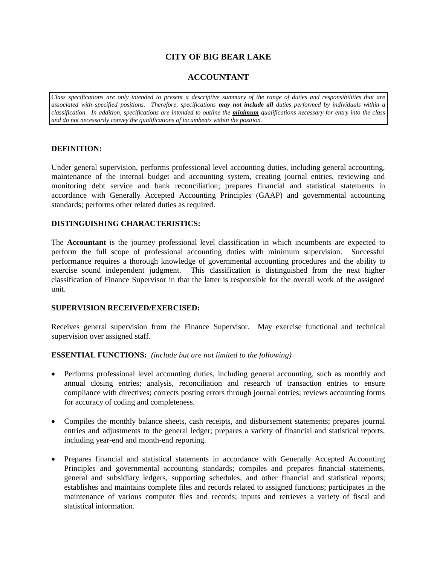# **CITY OF BIG BEAR LAKE**

# **ACCOUNTANT**

*Class specifications are only intended to present a descriptive summary of the range of duties and responsibilities that are associated with specified positions. Therefore, specifications may not include all duties performed by individuals within a classification. In addition, specifications are intended to outline the minimum qualifications necessary for entry into the class and do not necessarily convey the qualifications of incumbents within the position.*

### **DEFINITION:**

Under general supervision, performs professional level accounting duties, including general accounting, maintenance of the internal budget and accounting system, creating journal entries, reviewing and monitoring debt service and bank reconciliation; prepares financial and statistical statements in accordance with Generally Accepted Accounting Principles (GAAP) and governmental accounting standards; performs other related duties as required.

## **DISTINGUISHING CHARACTERISTICS:**

The **Accountant** is the journey professional level classification in which incumbents are expected to perform the full scope of professional accounting duties with minimum supervision. Successful performance requires a thorough knowledge of governmental accounting procedures and the ability to exercise sound independent judgment. This classification is distinguished from the next higher classification of Finance Supervisor in that the latter is responsible for the overall work of the assigned unit.

### **SUPERVISION RECEIVED/EXERCISED:**

Receives general supervision from the Finance Supervisor. May exercise functional and technical supervision over assigned staff.

### **ESSENTIAL FUNCTIONS:** *(include but are not limited to the following)*

- Performs professional level accounting duties, including general accounting, such as monthly and annual closing entries; analysis, reconciliation and research of transaction entries to ensure compliance with directives; corrects posting errors through journal entries; reviews accounting forms for accuracy of coding and completeness.
- Compiles the monthly balance sheets, cash receipts, and disbursement statements; prepares journal entries and adjustments to the general ledger; prepares a variety of financial and statistical reports, including year-end and month-end reporting.
- Prepares financial and statistical statements in accordance with Generally Accepted Accounting Principles and governmental accounting standards; compiles and prepares financial statements, general and subsidiary ledgers, supporting schedules, and other financial and statistical reports; establishes and maintains complete files and records related to assigned functions; participates in the maintenance of various computer files and records; inputs and retrieves a variety of fiscal and statistical information.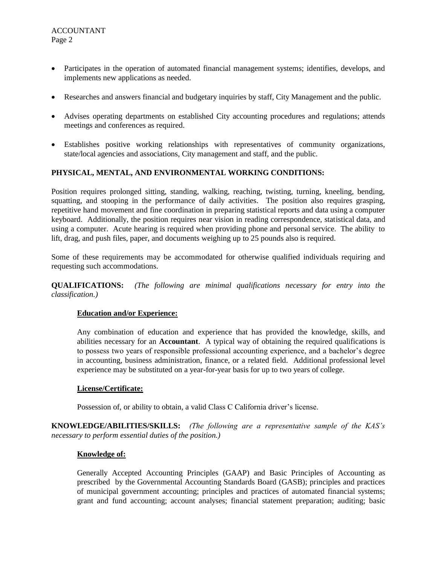- Participates in the operation of automated financial management systems; identifies, develops, and implements new applications as needed.
- Researches and answers financial and budgetary inquiries by staff, City Management and the public.
- Advises operating departments on established City accounting procedures and regulations; attends meetings and conferences as required.
- Establishes positive working relationships with representatives of community organizations, state/local agencies and associations, City management and staff, and the public.

## **PHYSICAL, MENTAL, AND ENVIRONMENTAL WORKING CONDITIONS:**

Position requires prolonged sitting, standing, walking, reaching, twisting, turning, kneeling, bending, squatting, and stooping in the performance of daily activities. The position also requires grasping, repetitive hand movement and fine coordination in preparing statistical reports and data using a computer keyboard. Additionally, the position requires near vision in reading correspondence, statistical data, and using a computer. Acute hearing is required when providing phone and personal service. The ability to lift, drag, and push files, paper, and documents weighing up to 25 pounds also is required.

Some of these requirements may be accommodated for otherwise qualified individuals requiring and requesting such accommodations.

**QUALIFICATIONS:** *(The following are minimal qualifications necessary for entry into the classification.)*

### **Education and/or Experience:**

Any combination of education and experience that has provided the knowledge, skills, and abilities necessary for an **Accountant**. A typical way of obtaining the required qualifications is to possess two years of responsible professional accounting experience, and a bachelor's degree in accounting, business administration, finance, or a related field. Additional professional level experience may be substituted on a year-for-year basis for up to two years of college.

### **License/Certificate:**

Possession of, or ability to obtain, a valid Class C California driver's license.

**KNOWLEDGE/ABILITIES/SKILLS:** *(The following are a representative sample of the KAS's necessary to perform essential duties of the position.)*

### **Knowledge of:**

Generally Accepted Accounting Principles (GAAP) and Basic Principles of Accounting as prescribed by the Governmental Accounting Standards Board (GASB); principles and practices of municipal government accounting; principles and practices of automated financial systems; grant and fund accounting; account analyses; financial statement preparation; auditing; basic